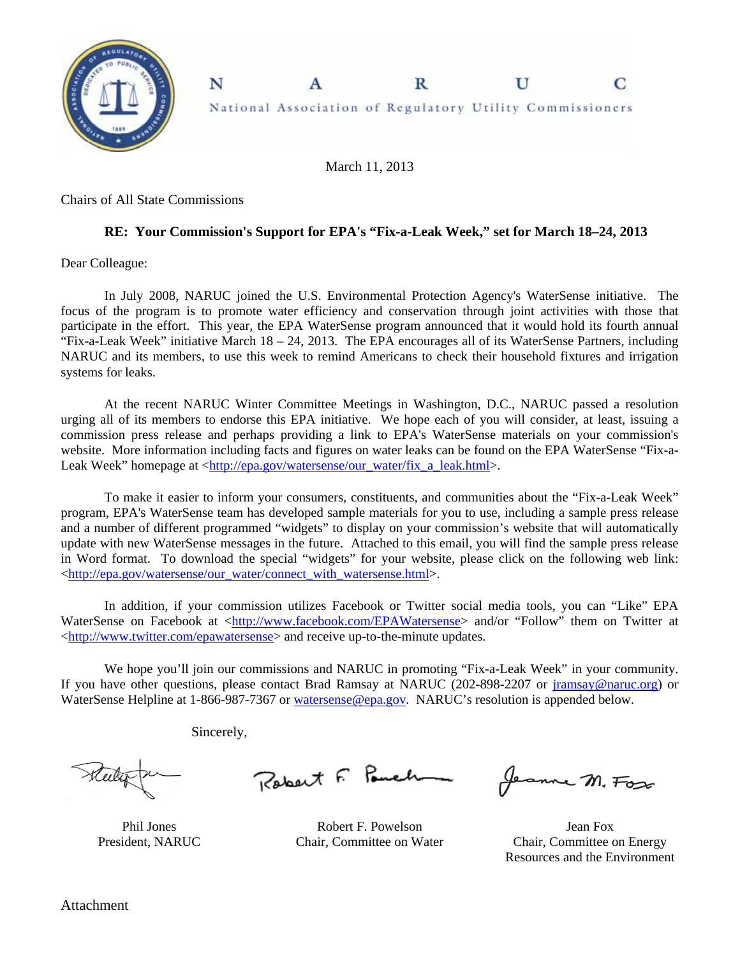

March 11, 2013

Chairs of All State Commissions

## **RE: Your Commission's Support for EPA's "Fix-a-Leak Week," set for March 18–24, 2013**

Dear Colleague:

In July 2008, NARUC joined the U.S. Environmental Protection Agency's WaterSense initiative. The focus of the program is to promote water efficiency and conservation through joint activities with those that participate in the effort. This year, the EPA WaterSense program announced that it would hold its fourth annual "Fix-a-Leak Week" initiative March 18 – 24, 2013. The EPA encourages all of its WaterSense Partners, including NARUC and its members, to use this week to remind Americans to check their household fixtures and irrigation systems for leaks.

At the recent NARUC Winter Committee Meetings in Washington, D.C., NARUC passed a resolution urging all of its members to endorse this EPA initiative. We hope each of you will consider, at least, issuing a commission press release and perhaps providing a link to EPA's WaterSense materials on your commission's website. More information including facts and figures on water leaks can be found on the EPA WaterSense "Fix-a-Leak Week" homepage at <http://epa.gov/watersense/our\_water/fix\_a\_leak.html>.

To make it easier to inform your consumers, constituents, and communities about the "Fix-a-Leak Week" program, EPA's WaterSense team has developed sample materials for you to use, including a sample press release and a number of different programmed "widgets" to display on your commission's website that will automatically update with new WaterSense messages in the future. Attached to this email, you will find the sample press release in Word format. To download the special "widgets" for your website, please click on the following web link: <http://epa.gov/watersense/our\_water/connect\_with\_watersense.html>.

In addition, if your commission utilizes Facebook or Twitter social media tools, you can "Like" EPA WaterSense on Facebook at <http://www.facebook.com/EPAWatersense> and/or "Follow" them on Twitter at <http://www.twitter.com/epawatersense> and receive up-to-the-minute updates.

We hope you'll join our commissions and NARUC in promoting "Fix-a-Leak Week" in your community. If you have other questions, please contact Brad Ramsay at NARUC (202-898-2207 or jramsay@naruc.org) or WaterSense Helpline at 1-866-987-7367 or watersense@epa.gov. NARUC's resolution is appended below.

Sincerely,

Robert F. Pauch

Phil Jones President, NARUC

Robert F. Powelson Chair, Committee on Water

Jeanne M. Fox

Jean Fox Chair, Committee on Energy Resources and the Environment

Attachment